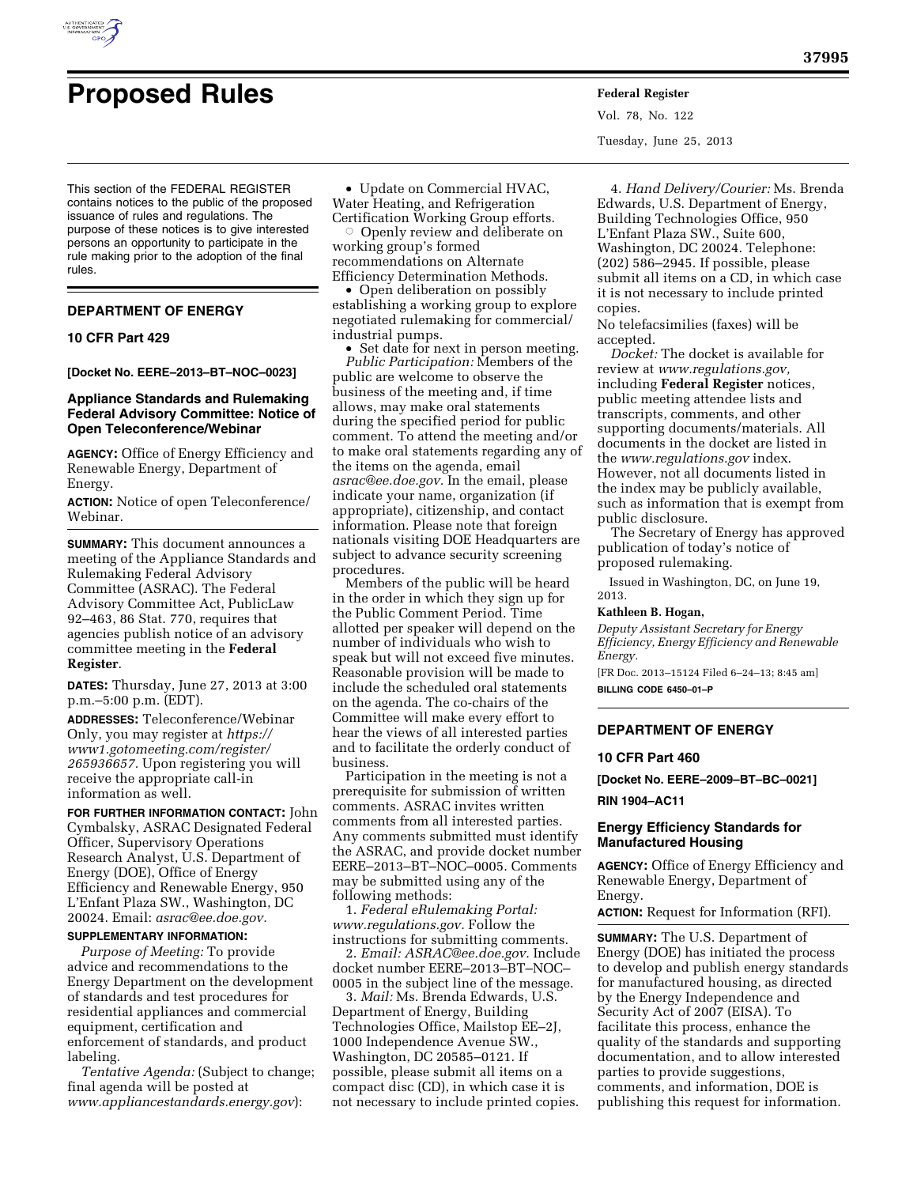

# **Proposed Rules Federal Register**

This section of the FEDERAL REGISTER contains notices to the public of the proposed issuance of rules and regulations. The purpose of these notices is to give interested persons an opportunity to participate in the rule making prior to the adoption of the final rules.

# **DEPARTMENT OF ENERGY**

# **10 CFR Part 429**

**[Docket No. EERE–2013–BT–NOC–0023]** 

# **Appliance Standards and Rulemaking Federal Advisory Committee: Notice of Open Teleconference/Webinar**

**AGENCY:** Office of Energy Efficiency and Renewable Energy, Department of Energy.

**ACTION:** Notice of open Teleconference/ Webinar.

**SUMMARY:** This document announces a meeting of the Appliance Standards and Rulemaking Federal Advisory Committee (ASRAC). The Federal Advisory Committee Act, PublicLaw 92–463, 86 Stat. 770, requires that agencies publish notice of an advisory committee meeting in the **Federal Register**.

**DATES:** Thursday, June 27, 2013 at 3:00 p.m.–5:00 p.m. (EDT).

**ADDRESSES:** Teleconference/Webinar Only, you may register at *[https://](https://www1.gotomeeting.com/register/265936657)  [www1.gotomeeting.com/register/](https://www1.gotomeeting.com/register/265936657)  [265936657.](https://www1.gotomeeting.com/register/265936657)* Upon registering you will receive the appropriate call-in information as well.

**FOR FURTHER INFORMATION CONTACT:** John Cymbalsky, ASRAC Designated Federal Officer, Supervisory Operations Research Analyst, U.S. Department of Energy (DOE), Office of Energy Efficiency and Renewable Energy, 950 L'Enfant Plaza SW., Washington, DC 20024. Email: *[asrac@ee.doe.gov.](mailto:asrac@ee.doe.gov)* 

# **SUPPLEMENTARY INFORMATION:**

*Purpose of Meeting:* To provide advice and recommendations to the Energy Department on the development of standards and test procedures for residential appliances and commercial equipment, certification and enforcement of standards, and product labeling.

*Tentative Agenda:* (Subject to change; final agenda will be posted at *[www.appliancestandards.energy.gov](http://www.appliancestandards.energy.gov)*):

• Update on Commercial HVAC, Water Heating, and Refrigeration

Certification Working Group efforts. O Openly review and deliberate on working group's formed recommendations on Alternate Efficiency Determination Methods.

• Open deliberation on possibly establishing a working group to explore negotiated rulemaking for commercial/ industrial pumps.

• Set date for next in person meeting. *Public Participation:* Members of the public are welcome to observe the business of the meeting and, if time allows, may make oral statements during the specified period for public comment. To attend the meeting and/or to make oral statements regarding any of the items on the agenda, email *[asrac@ee.doe.gov.](mailto:asrac@ee.doe.gov)* In the email, please indicate your name, organization (if appropriate), citizenship, and contact information. Please note that foreign nationals visiting DOE Headquarters are subject to advance security screening procedures.

Members of the public will be heard in the order in which they sign up for the Public Comment Period. Time allotted per speaker will depend on the number of individuals who wish to speak but will not exceed five minutes. Reasonable provision will be made to include the scheduled oral statements on the agenda. The co-chairs of the Committee will make every effort to hear the views of all interested parties and to facilitate the orderly conduct of business.

Participation in the meeting is not a prerequisite for submission of written comments. ASRAC invites written comments from all interested parties. Any comments submitted must identify the ASRAC, and provide docket number EERE–2013–BT–NOC–0005. Comments may be submitted using any of the following methods:

1. *Federal eRulemaking Portal: [www.regulations.gov.](http://www.regulations.gov)* Follow the instructions for submitting comments.

2. *Email: [ASRAC@ee.doe.gov.](mailto:ASRAC@ee.doe.gov)* Include docket number EERE–2013–BT–NOC– 0005 in the subject line of the message.

3. *Mail:* Ms. Brenda Edwards, U.S. Department of Energy, Building Technologies Office, Mailstop EE–2J, 1000 Independence Avenue SW., Washington, DC 20585–0121. If possible, please submit all items on a compact disc (CD), in which case it is not necessary to include printed copies. Vol. 78, No. 122 Tuesday, June 25, 2013

4. *Hand Delivery/Courier:* Ms. Brenda Edwards, U.S. Department of Energy, Building Technologies Office, 950 L'Enfant Plaza SW., Suite 600, Washington, DC 20024. Telephone: (202) 586–2945. If possible, please submit all items on a CD, in which case it is not necessary to include printed copies.

No telefacsimilies (faxes) will be accepted.

*Docket:* The docket is available for review at *[www.regulations.gov,](http://www.regulations.gov)*  including **Federal Register** notices, public meeting attendee lists and transcripts, comments, and other supporting documents/materials. All documents in the docket are listed in the *[www.regulations.gov](http://www.regulations.gov)* index. However, not all documents listed in the index may be publicly available, such as information that is exempt from public disclosure.

The Secretary of Energy has approved publication of today's notice of proposed rulemaking.

Issued in Washington, DC, on June 19,

# **Kathleen B. Hogan,**

2013.

*Deputy Assistant Secretary for Energy Efficiency, Energy Efficiency and Renewable Energy.* 

[FR Doc. 2013–15124 Filed 6–24–13; 8:45 am] **BILLING CODE 6450–01–P** 

# **DEPARTMENT OF ENERGY**

#### **10 CFR Part 460**

**[Docket No. EERE–2009–BT–BC–0021]** 

#### **RIN 1904–AC11**

# **Energy Efficiency Standards for Manufactured Housing**

**AGENCY:** Office of Energy Efficiency and Renewable Energy, Department of Energy.

**ACTION:** Request for Information (RFI).

**SUMMARY:** The U.S. Department of Energy (DOE) has initiated the process to develop and publish energy standards for manufactured housing, as directed by the Energy Independence and Security Act of 2007 (EISA). To facilitate this process, enhance the quality of the standards and supporting documentation, and to allow interested parties to provide suggestions, comments, and information, DOE is publishing this request for information.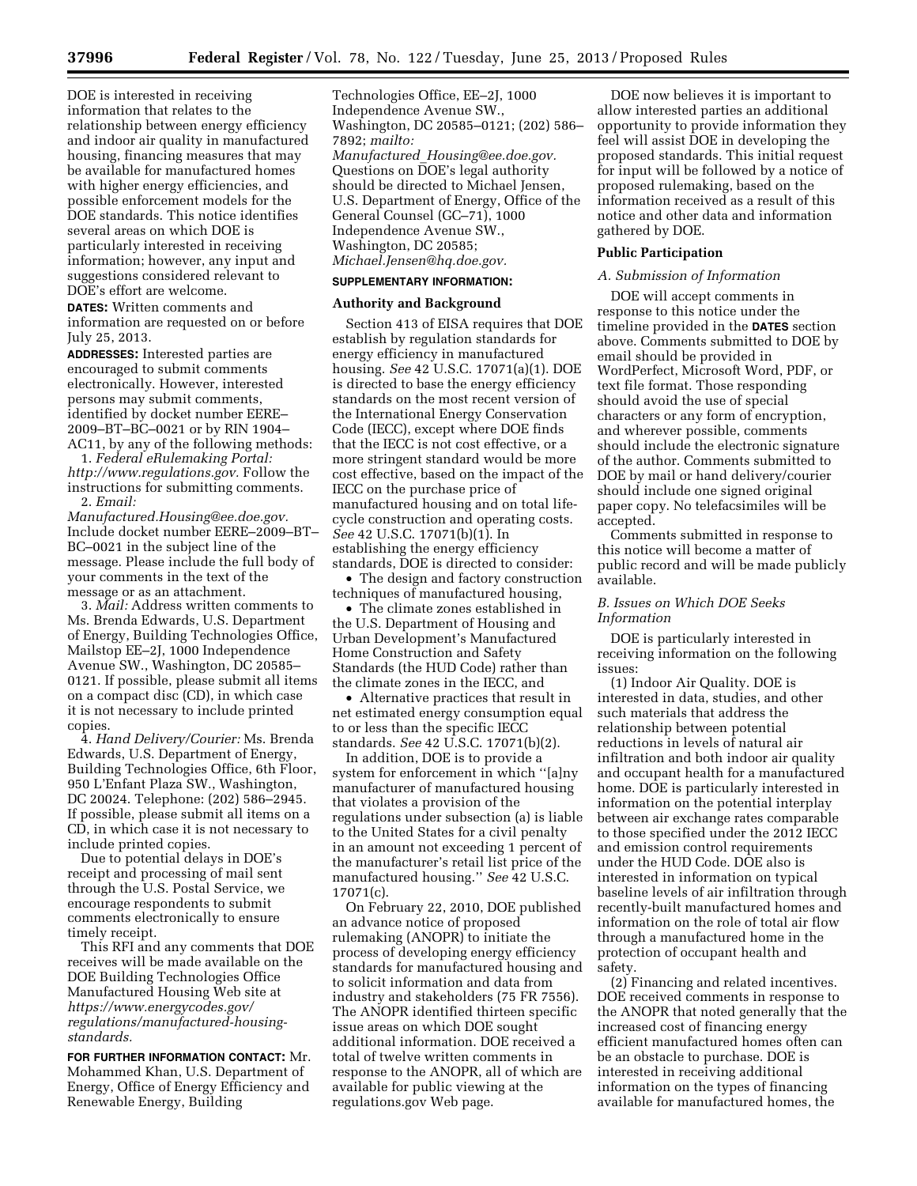DOE is interested in receiving information that relates to the relationship between energy efficiency and indoor air quality in manufactured housing, financing measures that may be available for manufactured homes with higher energy efficiencies, and possible enforcement models for the DOE standards. This notice identifies several areas on which DOE is particularly interested in receiving information; however, any input and suggestions considered relevant to DOE's effort are welcome.

**DATES:** Written comments and information are requested on or before July 25, 2013.

**ADDRESSES:** Interested parties are encouraged to submit comments electronically. However, interested persons may submit comments, identified by docket number EERE– 2009–BT–BC–0021 or by RIN 1904– AC11, by any of the following methods:

1. *Federal eRulemaking Portal: [http://www.regulations.gov.](http://www.regulations.gov)* Follow the instructions for submitting comments. 2. *Email:* 

*[Manufactured.Housing@ee.doe.gov.](mailto:Manufactured.Housing@ee.doe.gov)*  Include docket number EERE–2009–BT– BC–0021 in the subject line of the message. Please include the full body of your comments in the text of the message or as an attachment.

3. *Mail:* Address written comments to Ms. Brenda Edwards, U.S. Department of Energy, Building Technologies Office, Mailstop EE–2J, 1000 Independence Avenue SW., Washington, DC 20585– 0121. If possible, please submit all items on a compact disc (CD), in which case it is not necessary to include printed copies.

4. *Hand Delivery/Courier:* Ms. Brenda Edwards, U.S. Department of Energy, Building Technologies Office, 6th Floor, 950 L'Enfant Plaza SW., Washington, DC 20024. Telephone: (202) 586–2945. If possible, please submit all items on a CD, in which case it is not necessary to include printed copies.

Due to potential delays in DOE's receipt and processing of mail sent through the U.S. Postal Service, we encourage respondents to submit comments electronically to ensure timely receipt.

This RFI and any comments that DOE receives will be made available on the DOE Building Technologies Office Manufactured Housing Web site at *https://www.energycodes.gov/ [regulations/manufactured-housing](https://www.energycodes.gov/regulations/manufactured-housing-standards)standards.* 

**FOR FURTHER INFORMATION CONTACT:** Mr. Mohammed Khan, U.S. Department of Energy, Office of Energy Efficiency and Renewable Energy, Building

Technologies Office, EE–2J, 1000 Independence Avenue SW., Washington, DC 20585–0121; (202) 586– 7892; *mailto: Manufactured*\_*[Housing@ee.doe.gov.](mailto:Manufactured_Housing@ee.doe.gov)*  Questions on DOE's legal authority should be directed to Michael Jensen, U.S. Department of Energy, Office of the General Counsel (GC–71), 1000 Independence Avenue SW., Washington, DC 20585; *[Michael.Jensen@hq.doe.gov.](mailto:Michael.Jensen@hq.doe.gov)* 

# **SUPPLEMENTARY INFORMATION:**

# **Authority and Background**

Section 413 of EISA requires that DOE establish by regulation standards for energy efficiency in manufactured housing. *See* 42 U.S.C. 17071(a)(1). DOE is directed to base the energy efficiency standards on the most recent version of the International Energy Conservation Code (IECC), except where DOE finds that the IECC is not cost effective, or a more stringent standard would be more cost effective, based on the impact of the IECC on the purchase price of manufactured housing and on total lifecycle construction and operating costs. *See* 42 U.S.C. 17071(b)(1). In establishing the energy efficiency standards, DOE is directed to consider:

• The design and factory construction techniques of manufactured housing,

• The climate zones established in the U.S. Department of Housing and Urban Development's Manufactured Home Construction and Safety Standards (the HUD Code) rather than the climate zones in the IECC, and

• Alternative practices that result in net estimated energy consumption equal to or less than the specific IECC standards. *See* 42 U.S.C. 17071(b)(2).

In addition, DOE is to provide a system for enforcement in which ''[a]ny manufacturer of manufactured housing that violates a provision of the regulations under subsection (a) is liable to the United States for a civil penalty in an amount not exceeding 1 percent of the manufacturer's retail list price of the manufactured housing.'' *See* 42 U.S.C. 17071(c).

On February 22, 2010, DOE published an advance notice of proposed rulemaking (ANOPR) to initiate the process of developing energy efficiency standards for manufactured housing and to solicit information and data from industry and stakeholders (75 FR 7556). The ANOPR identified thirteen specific issue areas on which DOE sought additional information. DOE received a total of twelve written comments in response to the ANOPR, all of which are available for public viewing at the regulations.gov Web page.

DOE now believes it is important to allow interested parties an additional opportunity to provide information they feel will assist DOE in developing the proposed standards. This initial request for input will be followed by a notice of proposed rulemaking, based on the information received as a result of this notice and other data and information gathered by DOE.

#### **Public Participation**

#### *A. Submission of Information*

DOE will accept comments in response to this notice under the timeline provided in the **DATES** section above. Comments submitted to DOE by email should be provided in WordPerfect, Microsoft Word, PDF, or text file format. Those responding should avoid the use of special characters or any form of encryption, and wherever possible, comments should include the electronic signature of the author. Comments submitted to DOE by mail or hand delivery/courier should include one signed original paper copy. No telefacsimiles will be accepted.

Comments submitted in response to this notice will become a matter of public record and will be made publicly available.

# *B. Issues on Which DOE Seeks Information*

DOE is particularly interested in receiving information on the following issues:

(1) Indoor Air Quality. DOE is interested in data, studies, and other such materials that address the relationship between potential reductions in levels of natural air infiltration and both indoor air quality and occupant health for a manufactured home. DOE is particularly interested in information on the potential interplay between air exchange rates comparable to those specified under the 2012 IECC and emission control requirements under the HUD Code. DOE also is interested in information on typical baseline levels of air infiltration through recently-built manufactured homes and information on the role of total air flow through a manufactured home in the protection of occupant health and safety.

(2) Financing and related incentives. DOE received comments in response to the ANOPR that noted generally that the increased cost of financing energy efficient manufactured homes often can be an obstacle to purchase. DOE is interested in receiving additional information on the types of financing available for manufactured homes, the